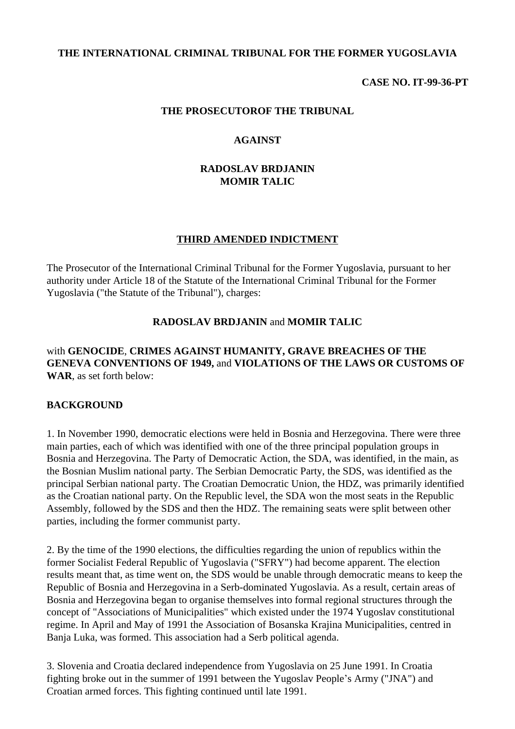#### **THE INTERNATIONAL CRIMINAL TRIBUNAL FOR THE FORMER YUGOSLAVIA**

#### **CASE NO. IT-99-36-PT**

#### **THE PROSECUTOROF THE TRIBUNAL**

#### **AGAINST**

#### **RADOSLAV BRDJANIN MOMIR TALIC**

#### **THIRD AMENDED INDICTMENT**

The Prosecutor of the International Criminal Tribunal for the Former Yugoslavia, pursuant to her authority under Article 18 of the Statute of the International Criminal Tribunal for the Former Yugoslavia ("the Statute of the Tribunal"), charges:

#### **RADOSLAV BRDJANIN** and **MOMIR TALIC**

#### with **GENOCIDE**, **CRIMES AGAINST HUMANITY, GRAVE BREACHES OF THE GENEVA CONVENTIONS OF 1949,** and **VIOLATIONS OF THE LAWS OR CUSTOMS OF WAR**, as set forth below:

#### **BACKGROUND**

1. In November 1990, democratic elections were held in Bosnia and Herzegovina. There were three main parties, each of which was identified with one of the three principal population groups in Bosnia and Herzegovina. The Party of Democratic Action, the SDA, was identified, in the main, as the Bosnian Muslim national party. The Serbian Democratic Party, the SDS, was identified as the principal Serbian national party. The Croatian Democratic Union, the HDZ, was primarily identified as the Croatian national party. On the Republic level, the SDA won the most seats in the Republic Assembly, followed by the SDS and then the HDZ. The remaining seats were split between other parties, including the former communist party.

2. By the time of the 1990 elections, the difficulties regarding the union of republics within the former Socialist Federal Republic of Yugoslavia ("SFRY") had become apparent. The election results meant that, as time went on, the SDS would be unable through democratic means to keep the Republic of Bosnia and Herzegovina in a Serb-dominated Yugoslavia. As a result, certain areas of Bosnia and Herzegovina began to organise themselves into formal regional structures through the concept of "Associations of Municipalities" which existed under the 1974 Yugoslav constitutional regime. In April and May of 1991 the Association of Bosanska Krajina Municipalities, centred in Banja Luka, was formed. This association had a Serb political agenda.

3. Slovenia and Croatia declared independence from Yugoslavia on 25 June 1991. In Croatia fighting broke out in the summer of 1991 between the Yugoslav People's Army ("JNA") and Croatian armed forces. This fighting continued until late 1991.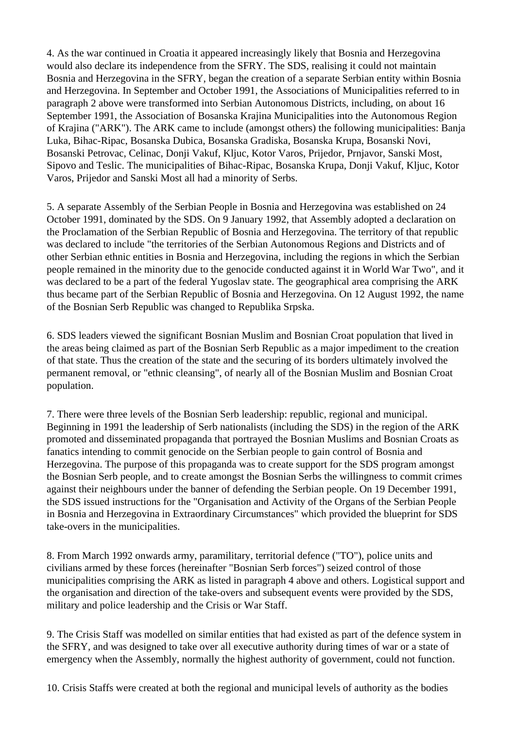4. As the war continued in Croatia it appeared increasingly likely that Bosnia and Herzegovina would also declare its independence from the SFRY. The SDS, realising it could not maintain Bosnia and Herzegovina in the SFRY, began the creation of a separate Serbian entity within Bosnia and Herzegovina. In September and October 1991, the Associations of Municipalities referred to in paragraph 2 above were transformed into Serbian Autonomous Districts, including, on about 16 September 1991, the Association of Bosanska Krajina Municipalities into the Autonomous Region of Krajina ("ARK"). The ARK came to include (amongst others) the following municipalities: Banja Luka, Bihac-Ripac, Bosanska Dubica, Bosanska Gradiska, Bosanska Krupa, Bosanski Novi, Bosanski Petrovac, Celinac, Donji Vakuf, Kljuc, Kotor Varos, Prijedor, Prnjavor, Sanski Most, Sipovo and Teslic. The municipalities of Bihac-Ripac, Bosanska Krupa, Donji Vakuf, Kljuc, Kotor Varos, Prijedor and Sanski Most all had a minority of Serbs.

5. A separate Assembly of the Serbian People in Bosnia and Herzegovina was established on 24 October 1991, dominated by the SDS. On 9 January 1992, that Assembly adopted a declaration on the Proclamation of the Serbian Republic of Bosnia and Herzegovina. The territory of that republic was declared to include "the territories of the Serbian Autonomous Regions and Districts and of other Serbian ethnic entities in Bosnia and Herzegovina, including the regions in which the Serbian people remained in the minority due to the genocide conducted against it in World War Two", and it was declared to be a part of the federal Yugoslav state. The geographical area comprising the ARK thus became part of the Serbian Republic of Bosnia and Herzegovina. On 12 August 1992, the name of the Bosnian Serb Republic was changed to Republika Srpska.

6. SDS leaders viewed the significant Bosnian Muslim and Bosnian Croat population that lived in the areas being claimed as part of the Bosnian Serb Republic as a major impediment to the creation of that state. Thus the creation of the state and the securing of its borders ultimately involved the permanent removal, or "ethnic cleansing", of nearly all of the Bosnian Muslim and Bosnian Croat population.

7. There were three levels of the Bosnian Serb leadership: republic, regional and municipal. Beginning in 1991 the leadership of Serb nationalists (including the SDS) in the region of the ARK promoted and disseminated propaganda that portrayed the Bosnian Muslims and Bosnian Croats as fanatics intending to commit genocide on the Serbian people to gain control of Bosnia and Herzegovina. The purpose of this propaganda was to create support for the SDS program amongst the Bosnian Serb people, and to create amongst the Bosnian Serbs the willingness to commit crimes against their neighbours under the banner of defending the Serbian people. On 19 December 1991, the SDS issued instructions for the "Organisation and Activity of the Organs of the Serbian People in Bosnia and Herzegovina in Extraordinary Circumstances" which provided the blueprint for SDS take-overs in the municipalities.

8. From March 1992 onwards army, paramilitary, territorial defence ("TO"), police units and civilians armed by these forces (hereinafter "Bosnian Serb forces") seized control of those municipalities comprising the ARK as listed in paragraph 4 above and others. Logistical support and the organisation and direction of the take-overs and subsequent events were provided by the SDS, military and police leadership and the Crisis or War Staff.

9. The Crisis Staff was modelled on similar entities that had existed as part of the defence system in the SFRY, and was designed to take over all executive authority during times of war or a state of emergency when the Assembly, normally the highest authority of government, could not function.

10. Crisis Staffs were created at both the regional and municipal levels of authority as the bodies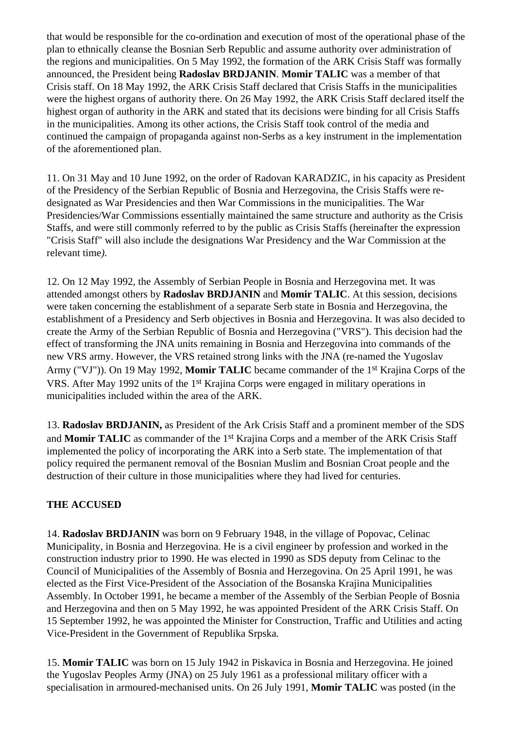that would be responsible for the co-ordination and execution of most of the operational phase of the plan to ethnically cleanse the Bosnian Serb Republic and assume authority over administration of the regions and municipalities. On 5 May 1992, the formation of the ARK Crisis Staff was formally announced, the President being **Radoslav BRDJANIN**. **Momir TALIC** was a member of that Crisis staff. On 18 May 1992, the ARK Crisis Staff declared that Crisis Staffs in the municipalities were the highest organs of authority there. On 26 May 1992, the ARK Crisis Staff declared itself the highest organ of authority in the ARK and stated that its decisions were binding for all Crisis Staffs in the municipalities. Among its other actions, the Crisis Staff took control of the media and continued the campaign of propaganda against non-Serbs as a key instrument in the implementation of the aforementioned plan.

11. On 31 May and 10 June 1992, on the order of Radovan KARADZIC, in his capacity as President of the Presidency of the Serbian Republic of Bosnia and Herzegovina, the Crisis Staffs were redesignated as War Presidencies and then War Commissions in the municipalities. The War Presidencies/War Commissions essentially maintained the same structure and authority as the Crisis Staffs, and were still commonly referred to by the public as Crisis Staffs (hereinafter the expression "Crisis Staff" will also include the designations War Presidency and the War Commission at the relevant time*).*

12. On 12 May 1992, the Assembly of Serbian People in Bosnia and Herzegovina met. It was attended amongst others by **Radoslav BRDJANIN** and **Momir TALIC**. At this session, decisions were taken concerning the establishment of a separate Serb state in Bosnia and Herzegovina, the establishment of a Presidency and Serb objectives in Bosnia and Herzegovina. It was also decided to create the Army of the Serbian Republic of Bosnia and Herzegovina ("VRS"). This decision had the effect of transforming the JNA units remaining in Bosnia and Herzegovina into commands of the new VRS army. However, the VRS retained strong links with the JNA (re-named the Yugoslav Army ("VJ")). On 19 May 1992, **Momir TALIC** became commander of the 1st Krajina Corps of the VRS. After May 1992 units of the 1st Krajina Corps were engaged in military operations in municipalities included within the area of the ARK.

13. **Radoslav BRDJANIN,** as President of the Ark Crisis Staff and a prominent member of the SDS and **Momir TALIC** as commander of the 1st Krajina Corps and a member of the ARK Crisis Staff implemented the policy of incorporating the ARK into a Serb state. The implementation of that policy required the permanent removal of the Bosnian Muslim and Bosnian Croat people and the destruction of their culture in those municipalities where they had lived for centuries.

# **THE ACCUSED**

14. **Radoslav BRDJANIN** was born on 9 February 1948, in the village of Popovac, Celinac Municipality, in Bosnia and Herzegovina. He is a civil engineer by profession and worked in the construction industry prior to 1990. He was elected in 1990 as SDS deputy from Celinac to the Council of Municipalities of the Assembly of Bosnia and Herzegovina. On 25 April 1991, he was elected as the First Vice-President of the Association of the Bosanska Krajina Municipalities Assembly. In October 1991, he became a member of the Assembly of the Serbian People of Bosnia and Herzegovina and then on 5 May 1992, he was appointed President of the ARK Crisis Staff. On 15 September 1992, he was appointed the Minister for Construction, Traffic and Utilities and acting Vice-President in the Government of Republika Srpska*.*

15. **Momir TALIC** was born on 15 July 1942 in Piskavica in Bosnia and Herzegovina. He joined the Yugoslav Peoples Army (JNA) on 25 July 1961 as a professional military officer with a specialisation in armoured-mechanised units. On 26 July 1991, **Momir TALIC** was posted (in the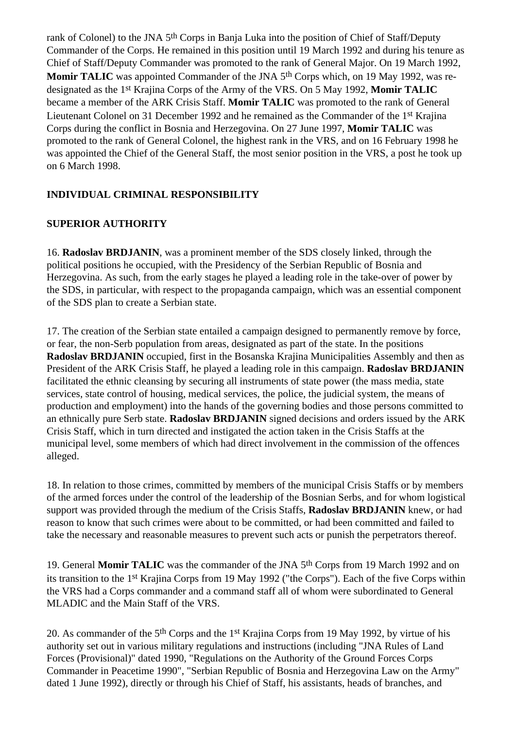rank of Colonel) to the JNA 5th Corps in Banja Luka into the position of Chief of Staff/Deputy Commander of the Corps. He remained in this position until 19 March 1992 and during his tenure as Chief of Staff/Deputy Commander was promoted to the rank of General Major. On 19 March 1992, **Momir TALIC** was appointed Commander of the JNA 5<sup>th</sup> Corps which, on 19 May 1992, was redesignated as the 1st Krajina Corps of the Army of the VRS. On 5 May 1992, **Momir TALIC** became a member of the ARK Crisis Staff. **Momir TALIC** was promoted to the rank of General Lieutenant Colonel on 31 December 1992 and he remained as the Commander of the 1st Krajina Corps during the conflict in Bosnia and Herzegovina. On 27 June 1997, **Momir TALIC** was promoted to the rank of General Colonel, the highest rank in the VRS, and on 16 February 1998 he was appointed the Chief of the General Staff, the most senior position in the VRS, a post he took up on 6 March 1998.

# **INDIVIDUAL CRIMINAL RESPONSIBILITY**

## **SUPERIOR AUTHORITY**

16. **Radoslav BRDJANIN**, was a prominent member of the SDS closely linked, through the political positions he occupied, with the Presidency of the Serbian Republic of Bosnia and Herzegovina. As such, from the early stages he played a leading role in the take-over of power by the SDS, in particular, with respect to the propaganda campaign, which was an essential component of the SDS plan to create a Serbian state.

17. The creation of the Serbian state entailed a campaign designed to permanently remove by force, or fear, the non-Serb population from areas, designated as part of the state. In the positions **Radoslav BRDJANIN** occupied, first in the Bosanska Krajina Municipalities Assembly and then as President of the ARK Crisis Staff, he played a leading role in this campaign. **Radoslav BRDJANIN** facilitated the ethnic cleansing by securing all instruments of state power (the mass media, state services, state control of housing, medical services, the police, the judicial system, the means of production and employment) into the hands of the governing bodies and those persons committed to an ethnically pure Serb state. **Radoslav BRDJANIN** signed decisions and orders issued by the ARK Crisis Staff, which in turn directed and instigated the action taken in the Crisis Staffs at the municipal level, some members of which had direct involvement in the commission of the offences alleged.

18. In relation to those crimes, committed by members of the municipal Crisis Staffs or by members of the armed forces under the control of the leadership of the Bosnian Serbs, and for whom logistical support was provided through the medium of the Crisis Staffs, **Radoslav BRDJANIN** knew, or had reason to know that such crimes were about to be committed, or had been committed and failed to take the necessary and reasonable measures to prevent such acts or punish the perpetrators thereof.

19. General **Momir TALIC** was the commander of the JNA 5th Corps from 19 March 1992 and on its transition to the 1st Krajina Corps from 19 May 1992 ("the Corps"). Each of the five Corps within the VRS had a Corps commander and a command staff all of whom were subordinated to General MLADIC and the Main Staff of the VRS.

20. As commander of the 5th Corps and the 1st Krajina Corps from 19 May 1992, by virtue of his authority set out in various military regulations and instructions (including "JNA Rules of Land Forces (Provisional)" dated 1990, "Regulations on the Authority of the Ground Forces Corps Commander in Peacetime 1990", "Serbian Republic of Bosnia and Herzegovina Law on the Army" dated 1 June 1992), directly or through his Chief of Staff, his assistants, heads of branches, and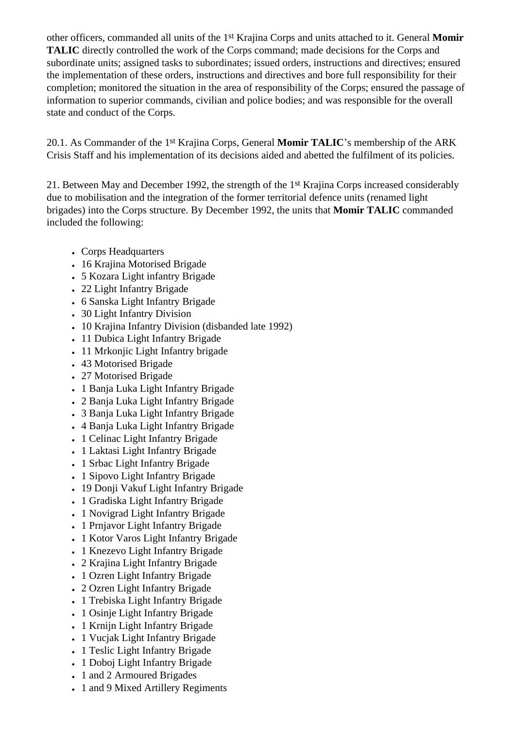other officers, commanded all units of the 1st Krajina Corps and units attached to it. General **Momir TALIC** directly controlled the work of the Corps command; made decisions for the Corps and subordinate units; assigned tasks to subordinates; issued orders, instructions and directives; ensured the implementation of these orders, instructions and directives and bore full responsibility for their completion; monitored the situation in the area of responsibility of the Corps; ensured the passage of information to superior commands, civilian and police bodies; and was responsible for the overall state and conduct of the Corps.

20.1. As Commander of the 1st Krajina Corps, General **Momir TALIC**'s membership of the ARK Crisis Staff and his implementation of its decisions aided and abetted the fulfilment of its policies.

21. Between May and December 1992, the strength of the 1st Krajina Corps increased considerably due to mobilisation and the integration of the former territorial defence units (renamed light brigades) into the Corps structure. By December 1992, the units that **Momir TALIC** commanded included the following:

- Corps Headquarters
- 16 Krajina Motorised Brigade
- 5 Kozara Light infantry Brigade
- 22 Light Infantry Brigade
- 6 Sanska Light Infantry Brigade
- 30 Light Infantry Division
- 10 Krajina Infantry Division (disbanded late 1992)
- 11 Dubica Light Infantry Brigade
- 11 Mrkonjic Light Infantry brigade
- 43 Motorised Brigade
- 27 Motorised Brigade
- 1 Banja Luka Light Infantry Brigade
- 2 Banja Luka Light Infantry Brigade
- 3 Banja Luka Light Infantry Brigade
- 4 Banja Luka Light Infantry Brigade
- 1 Celinac Light Infantry Brigade
- 1 Laktasi Light Infantry Brigade
- 1 Srbac Light Infantry Brigade
- 1 Sipovo Light Infantry Brigade
- 19 Donji Vakuf Light Infantry Brigade
- 1 Gradiska Light Infantry Brigade
- 1 Novigrad Light Infantry Brigade
- 1 Prnjavor Light Infantry Brigade
- 1 Kotor Varos Light Infantry Brigade
- 1 Knezevo Light Infantry Brigade
- 2 Krajina Light Infantry Brigade
- 1 Ozren Light Infantry Brigade
- 2 Ozren Light Infantry Brigade
- 1 Trebiska Light Infantry Brigade
- 1 Osinje Light Infantry Brigade
- 1 Krnijn Light Infantry Brigade
- 1 Vucjak Light Infantry Brigade
- 1 Teslic Light Infantry Brigade
- 1 Doboj Light Infantry Brigade
- 1 and 2 Armoured Brigades
- 1 and 9 Mixed Artillery Regiments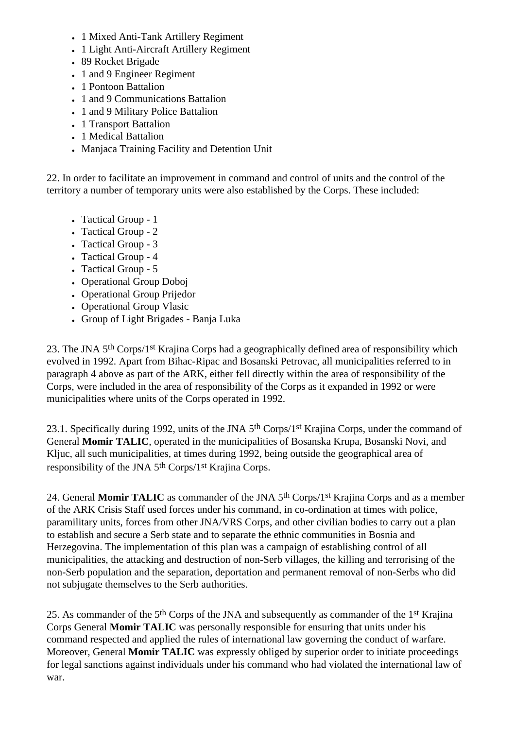- 1 Mixed Anti-Tank Artillery Regiment
- 1 Light Anti-Aircraft Artillery Regiment
- 89 Rocket Brigade
- 1 and 9 Engineer Regiment
- 1 Pontoon Battalion
- 1 and 9 Communications Battalion
- 1 and 9 Military Police Battalion
- 1 Transport Battalion
- 1 Medical Battalion
- Manjaca Training Facility and Detention Unit

22. In order to facilitate an improvement in command and control of units and the control of the territory a number of temporary units were also established by the Corps. These included:

- Tactical Group 1
- Tactical Group 2
- Tactical Group 3
- Tactical Group 4
- Tactical Group 5
- Operational Group Doboi
- Operational Group Prijedor
- Operational Group Vlasic
- Group of Light Brigades Banja Luka

23. The JNA 5th Corps/1st Krajina Corps had a geographically defined area of responsibility which evolved in 1992. Apart from Bihac-Ripac and Bosanski Petrovac, all municipalities referred to in paragraph 4 above as part of the ARK, either fell directly within the area of responsibility of the Corps, were included in the area of responsibility of the Corps as it expanded in 1992 or were municipalities where units of the Corps operated in 1992.

23.1. Specifically during 1992, units of the JNA 5<sup>th</sup> Corps/1<sup>st</sup> Krajina Corps, under the command of General **Momir TALIC**, operated in the municipalities of Bosanska Krupa, Bosanski Novi, and Kljuc, all such municipalities, at times during 1992, being outside the geographical area of responsibility of the JNA 5th Corps/1st Krajina Corps.

24. General **Momir TALIC** as commander of the JNA 5th Corps/1st Krajina Corps and as a member of the ARK Crisis Staff used forces under his command, in co-ordination at times with police, paramilitary units, forces from other JNA/VRS Corps, and other civilian bodies to carry out a plan to establish and secure a Serb state and to separate the ethnic communities in Bosnia and Herzegovina. The implementation of this plan was a campaign of establishing control of all municipalities, the attacking and destruction of non-Serb villages, the killing and terrorising of the non-Serb population and the separation, deportation and permanent removal of non-Serbs who did not subjugate themselves to the Serb authorities.

25. As commander of the 5th Corps of the JNA and subsequently as commander of the 1st Krajina Corps General **Momir TALIC** was personally responsible for ensuring that units under his command respected and applied the rules of international law governing the conduct of warfare. Moreover, General **Momir TALIC** was expressly obliged by superior order to initiate proceedings for legal sanctions against individuals under his command who had violated the international law of war.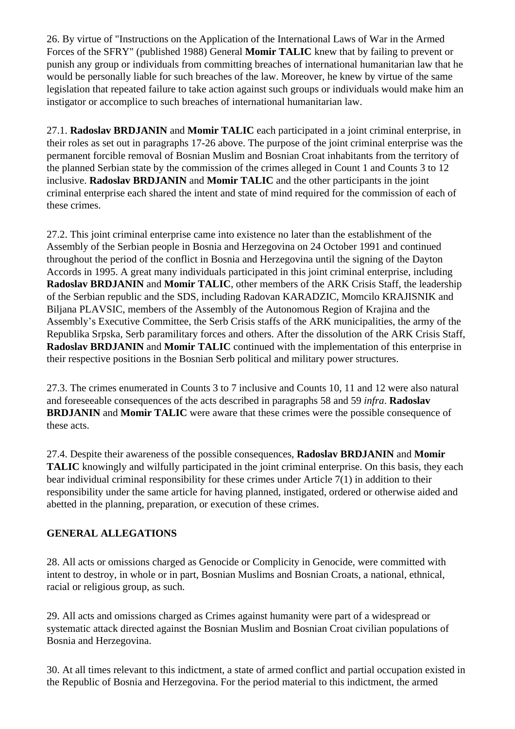26. By virtue of "Instructions on the Application of the International Laws of War in the Armed Forces of the SFRY" (published 1988) General **Momir TALIC** knew that by failing to prevent or punish any group or individuals from committing breaches of international humanitarian law that he would be personally liable for such breaches of the law. Moreover, he knew by virtue of the same legislation that repeated failure to take action against such groups or individuals would make him an instigator or accomplice to such breaches of international humanitarian law.

27.1. **Radoslav BRDJANIN** and **Momir TALIC** each participated in a joint criminal enterprise, in their roles as set out in paragraphs 17-26 above. The purpose of the joint criminal enterprise was the permanent forcible removal of Bosnian Muslim and Bosnian Croat inhabitants from the territory of the planned Serbian state by the commission of the crimes alleged in Count 1 and Counts 3 to 12 inclusive. **Radoslav BRDJANIN** and **Momir TALIC** and the other participants in the joint criminal enterprise each shared the intent and state of mind required for the commission of each of these crimes.

27.2. This joint criminal enterprise came into existence no later than the establishment of the Assembly of the Serbian people in Bosnia and Herzegovina on 24 October 1991 and continued throughout the period of the conflict in Bosnia and Herzegovina until the signing of the Dayton Accords in 1995. A great many individuals participated in this joint criminal enterprise, including **Radoslav BRDJANIN** and **Momir TALIC**, other members of the ARK Crisis Staff, the leadership of the Serbian republic and the SDS, including Radovan KARADZIC, Momcilo KRAJISNIK and Biljana PLAVSIC, members of the Assembly of the Autonomous Region of Krajina and the Assembly's Executive Committee, the Serb Crisis staffs of the ARK municipalities, the army of the Republika Srpska, Serb paramilitary forces and others. After the dissolution of the ARK Crisis Staff, **Radoslav BRDJANIN** and **Momir TALIC** continued with the implementation of this enterprise in their respective positions in the Bosnian Serb political and military power structures.

27.3. The crimes enumerated in Counts 3 to 7 inclusive and Counts 10, 11 and 12 were also natural and foreseeable consequences of the acts described in paragraphs 58 and 59 *infra*. **Radoslav BRDJANIN** and **Momir TALIC** were aware that these crimes were the possible consequence of these acts.

27.4. Despite their awareness of the possible consequences, **Radoslav BRDJANIN** and **Momir TALIC** knowingly and wilfully participated in the joint criminal enterprise. On this basis, they each bear individual criminal responsibility for these crimes under Article 7(1) in addition to their responsibility under the same article for having planned, instigated, ordered or otherwise aided and abetted in the planning, preparation, or execution of these crimes.

# **GENERAL ALLEGATIONS**

28. All acts or omissions charged as Genocide or Complicity in Genocide, were committed with intent to destroy, in whole or in part, Bosnian Muslims and Bosnian Croats, a national, ethnical, racial or religious group, as such.

29. All acts and omissions charged as Crimes against humanity were part of a widespread or systematic attack directed against the Bosnian Muslim and Bosnian Croat civilian populations of Bosnia and Herzegovina.

30. At all times relevant to this indictment, a state of armed conflict and partial occupation existed in the Republic of Bosnia and Herzegovina. For the period material to this indictment, the armed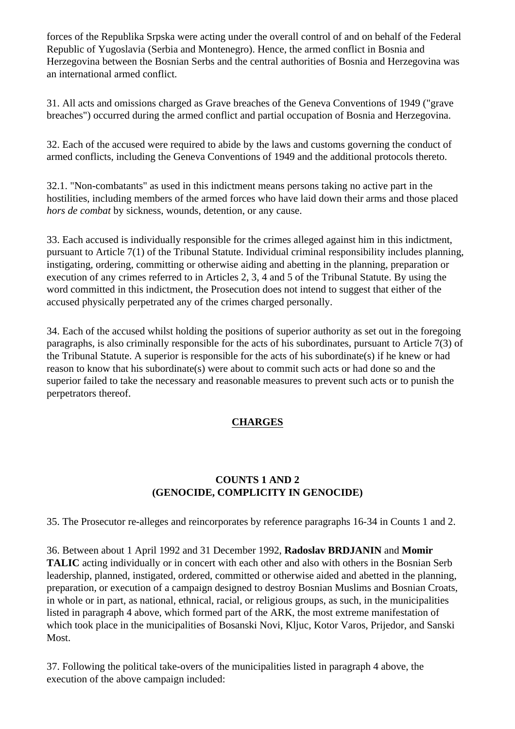forces of the Republika Srpska were acting under the overall control of and on behalf of the Federal Republic of Yugoslavia (Serbia and Montenegro). Hence, the armed conflict in Bosnia and Herzegovina between the Bosnian Serbs and the central authorities of Bosnia and Herzegovina was an international armed conflict.

31. All acts and omissions charged as Grave breaches of the Geneva Conventions of 1949 ("grave breaches") occurred during the armed conflict and partial occupation of Bosnia and Herzegovina.

32. Each of the accused were required to abide by the laws and customs governing the conduct of armed conflicts, including the Geneva Conventions of 1949 and the additional protocols thereto.

32.1. "Non-combatants" as used in this indictment means persons taking no active part in the hostilities, including members of the armed forces who have laid down their arms and those placed *hors de combat* by sickness, wounds, detention, or any cause.

33. Each accused is individually responsible for the crimes alleged against him in this indictment, pursuant to Article 7(1) of the Tribunal Statute. Individual criminal responsibility includes planning, instigating, ordering, committing or otherwise aiding and abetting in the planning, preparation or execution of any crimes referred to in Articles 2, 3, 4 and 5 of the Tribunal Statute. By using the word committed in this indictment, the Prosecution does not intend to suggest that either of the accused physically perpetrated any of the crimes charged personally.

34. Each of the accused whilst holding the positions of superior authority as set out in the foregoing paragraphs, is also criminally responsible for the acts of his subordinates, pursuant to Article 7(3) of the Tribunal Statute. A superior is responsible for the acts of his subordinate(s) if he knew or had reason to know that his subordinate(s) were about to commit such acts or had done so and the superior failed to take the necessary and reasonable measures to prevent such acts or to punish the perpetrators thereof.

# **CHARGES**

# **COUNTS 1 AND 2 (GENOCIDE, COMPLICITY IN GENOCIDE)**

35. The Prosecutor re-alleges and reincorporates by reference paragraphs 16-34 in Counts 1 and 2.

36. Between about 1 April 1992 and 31 December 1992, **Radoslav BRDJANIN** and **Momir TALIC** acting individually or in concert with each other and also with others in the Bosnian Serb leadership, planned, instigated, ordered, committed or otherwise aided and abetted in the planning, preparation, or execution of a campaign designed to destroy Bosnian Muslims and Bosnian Croats, in whole or in part, as national, ethnical, racial, or religious groups, as such, in the municipalities listed in paragraph 4 above, which formed part of the ARK, the most extreme manifestation of which took place in the municipalities of Bosanski Novi, Kljuc, Kotor Varos, Prijedor, and Sanski Most.

37. Following the political take-overs of the municipalities listed in paragraph 4 above, the execution of the above campaign included: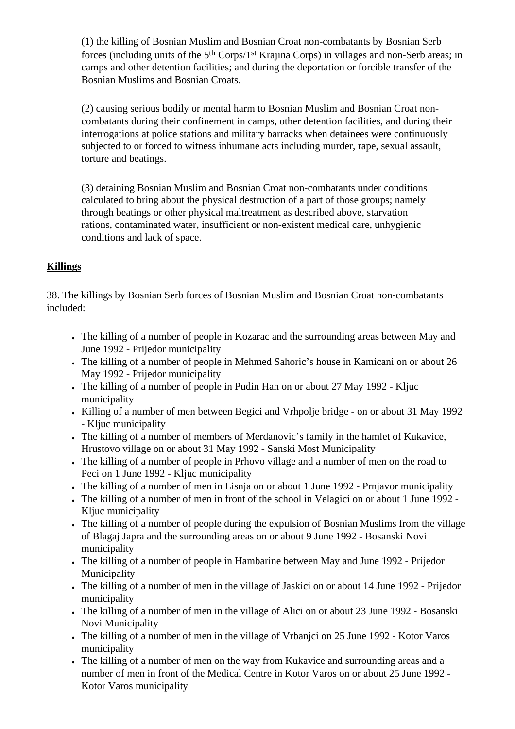(1) the killing of Bosnian Muslim and Bosnian Croat non-combatants by Bosnian Serb forces (including units of the 5th Corps/1st Krajina Corps) in villages and non-Serb areas; in camps and other detention facilities; and during the deportation or forcible transfer of the Bosnian Muslims and Bosnian Croats.

(2) causing serious bodily or mental harm to Bosnian Muslim and Bosnian Croat noncombatants during their confinement in camps, other detention facilities, and during their interrogations at police stations and military barracks when detainees were continuously subjected to or forced to witness inhumane acts including murder, rape, sexual assault, torture and beatings.

(3) detaining Bosnian Muslim and Bosnian Croat non-combatants under conditions calculated to bring about the physical destruction of a part of those groups; namely through beatings or other physical maltreatment as described above, starvation rations, contaminated water, insufficient or non-existent medical care, unhygienic conditions and lack of space.

## **Killings**

38. The killings by Bosnian Serb forces of Bosnian Muslim and Bosnian Croat non-combatants included:

- The killing of a number of people in Kozarac and the surrounding areas between May and June 1992 - Prijedor municipality
- The killing of a number of people in Mehmed Sahoric's house in Kamicani on or about 26 May 1992 - Prijedor municipality
- The killing of a number of people in Pudin Han on or about 27 May 1992 Kljuc municipality
- Killing of a number of men between Begici and Vrhpolje bridge on or about 31 May 1992 - Kljuc municipality
- The killing of a number of members of Merdanovic's family in the hamlet of Kukavice, Hrustovo village on or about 31 May 1992 - Sanski Most Municipality
- The killing of a number of people in Prhovo village and a number of men on the road to Peci on 1 June 1992 - Kljuc municipality
- The killing of a number of men in Lisnja on or about 1 June 1992 Prnjavor municipality
- The killing of a number of men in front of the school in Velagici on or about 1 June 1992 -Kljuc municipality
- The killing of a number of people during the expulsion of Bosnian Muslims from the village of Blagaj Japra and the surrounding areas on or about 9 June 1992 - Bosanski Novi municipality
- The killing of a number of people in Hambarine between May and June 1992 Prijedor Municipality
- The killing of a number of men in the village of Jaskici on or about 14 June 1992 Prijedor municipality
- The killing of a number of men in the village of Alici on or about 23 June 1992 Bosanski Novi Municipality
- The killing of a number of men in the village of Vrbanjci on 25 June 1992 Kotor Varos municipality
- The killing of a number of men on the way from Kukavice and surrounding areas and a number of men in front of the Medical Centre in Kotor Varos on or about 25 June 1992 - Kotor Varos municipality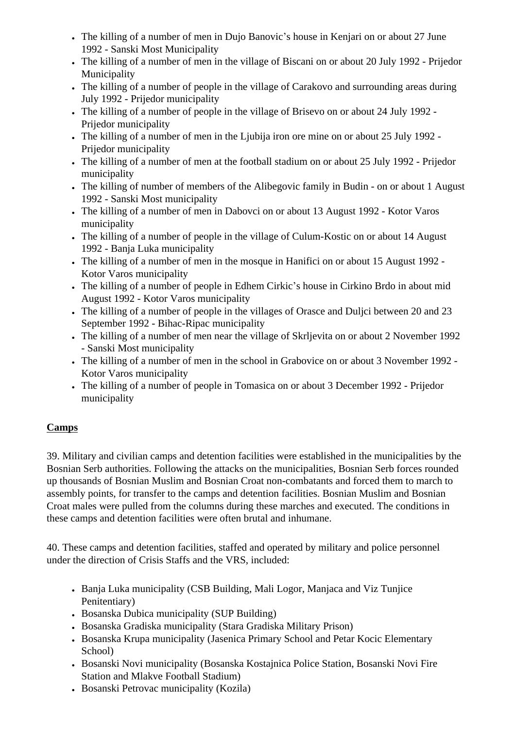- The killing of a number of men in Dujo Banovic's house in Kenjari on or about 27 June 1992 - Sanski Most Municipality
- The killing of a number of men in the village of Biscani on or about 20 July 1992 Prijedor Municipality
- The killing of a number of people in the village of Carakovo and surrounding areas during July 1992 - Prijedor municipality
- The killing of a number of people in the village of Brisevo on or about 24 July 1992 -Prijedor municipality
- The killing of a number of men in the Ljubija iron ore mine on or about 25 July 1992 -Prijedor municipality
- The killing of a number of men at the football stadium on or about 25 July 1992 Prijedor municipality
- The killing of number of members of the Alibegovic family in Budin on or about 1 August 1992 - Sanski Most municipality
- The killing of a number of men in Dabovci on or about 13 August 1992 Kotor Varos municipality
- The killing of a number of people in the village of Culum-Kostic on or about 14 August 1992 - Banja Luka municipality
- The killing of a number of men in the mosque in Hanifici on or about 15 August 1992 -Kotor Varos municipality
- The killing of a number of people in Edhem Cirkic's house in Cirkino Brdo in about mid August 1992 - Kotor Varos municipality
- The killing of a number of people in the villages of Orasce and Dulici between 20 and 23 September 1992 - Bihac-Ripac municipality
- The killing of a number of men near the village of Skrljevita on or about 2 November 1992 - Sanski Most municipality
- The killing of a number of men in the school in Grabovice on or about 3 November 1992 Kotor Varos municipality
- The killing of a number of people in Tomasica on or about 3 December 1992 Prijedor municipality

# **Camps**

39. Military and civilian camps and detention facilities were established in the municipalities by the Bosnian Serb authorities. Following the attacks on the municipalities, Bosnian Serb forces rounded up thousands of Bosnian Muslim and Bosnian Croat non-combatants and forced them to march to assembly points, for transfer to the camps and detention facilities. Bosnian Muslim and Bosnian Croat males were pulled from the columns during these marches and executed. The conditions in these camps and detention facilities were often brutal and inhumane.

40. These camps and detention facilities, staffed and operated by military and police personnel under the direction of Crisis Staffs and the VRS, included:

- Banja Luka municipality (CSB Building, Mali Logor, Manjaca and Viz Tunjice Penitentiary)
- Bosanska Dubica municipality (SUP Building)
- Bosanska Gradiska municipality (Stara Gradiska Military Prison)
- Bosanska Krupa municipality (Jasenica Primary School and Petar Kocic Elementary School)
- Bosanski Novi municipality (Bosanska Kostajnica Police Station, Bosanski Novi Fire Station and Mlakve Football Stadium)
- Bosanski Petrovac municipality (Kozila)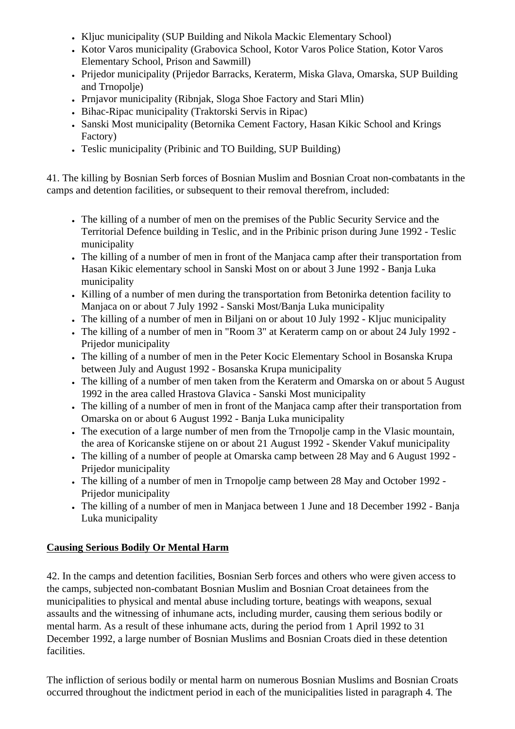- Kljuc municipality (SUP Building and Nikola Mackic Elementary School)
- Kotor Varos municipality (Grabovica School, Kotor Varos Police Station, Kotor Varos Elementary School, Prison and Sawmill)
- Prijedor municipality (Prijedor Barracks, Keraterm, Miska Glava, Omarska, SUP Building and Trnopolje)
- Prnjavor municipality (Ribnjak, Sloga Shoe Factory and Stari Mlin)
- Bihac-Ripac municipality (Traktorski Servis in Ripac)
- Sanski Most municipality (Betornika Cement Factory, Hasan Kikic School and Krings Factory)
- Teslic municipality (Pribinic and TO Building, SUP Building)

41. The killing by Bosnian Serb forces of Bosnian Muslim and Bosnian Croat non-combatants in the camps and detention facilities, or subsequent to their removal therefrom, included:

- The killing of a number of men on the premises of the Public Security Service and the Territorial Defence building in Teslic, and in the Pribinic prison during June 1992 - Teslic municipality
- The killing of a number of men in front of the Manjaca camp after their transportation from Hasan Kikic elementary school in Sanski Most on or about 3 June 1992 - Banja Luka municipality
- Killing of a number of men during the transportation from Betonirka detention facility to Manjaca on or about 7 July 1992 - Sanski Most/Banja Luka municipality
- The killing of a number of men in Biljani on or about 10 July 1992 Kljuc municipality
- The killing of a number of men in "Room 3" at Keraterm camp on or about 24 July 1992 Prijedor municipality
- The killing of a number of men in the Peter Kocic Elementary School in Bosanska Krupa between July and August 1992 - Bosanska Krupa municipality
- The killing of a number of men taken from the Keraterm and Omarska on or about 5 August 1992 in the area called Hrastova Glavica - Sanski Most municipality
- The killing of a number of men in front of the Manjaca camp after their transportation from Omarska on or about 6 August 1992 - Banja Luka municipality
- The execution of a large number of men from the Trnopolie camp in the Vlasic mountain, the area of Koricanske stijene on or about 21 August 1992 - Skender Vakuf municipality
- The killing of a number of people at Omarska camp between 28 May and 6 August 1992 -Prijedor municipality
- The killing of a number of men in Trnopolie camp between 28 May and October 1992 -Prijedor municipality
- The killing of a number of men in Manjaca between 1 June and 18 December 1992 Banja Luka municipality

# **Causing Serious Bodily Or Mental Harm**

42. In the camps and detention facilities, Bosnian Serb forces and others who were given access to the camps, subjected non-combatant Bosnian Muslim and Bosnian Croat detainees from the municipalities to physical and mental abuse including torture, beatings with weapons, sexual assaults and the witnessing of inhumane acts, including murder, causing them serious bodily or mental harm. As a result of these inhumane acts, during the period from 1 April 1992 to 31 December 1992, a large number of Bosnian Muslims and Bosnian Croats died in these detention facilities.

The infliction of serious bodily or mental harm on numerous Bosnian Muslims and Bosnian Croats occurred throughout the indictment period in each of the municipalities listed in paragraph 4. The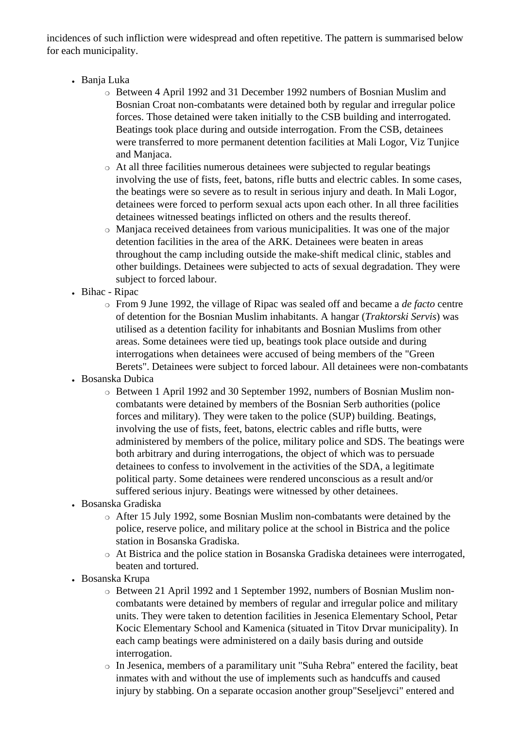incidences of such infliction were widespread and often repetitive. The pattern is summarised below for each municipality.

- Banja Luka
	- ❍ Between 4 April 1992 and 31 December 1992 numbers of Bosnian Muslim and Bosnian Croat non-combatants were detained both by regular and irregular police forces. Those detained were taken initially to the CSB building and interrogated. Beatings took place during and outside interrogation. From the CSB, detainees were transferred to more permanent detention facilities at Mali Logor, Viz Tunjice and Manjaca.
	- ❍ At all three facilities numerous detainees were subjected to regular beatings involving the use of fists, feet, batons, rifle butts and electric cables. In some cases, the beatings were so severe as to result in serious injury and death. In Mali Logor, detainees were forced to perform sexual acts upon each other. In all three facilities detainees witnessed beatings inflicted on others and the results thereof.
	- ❍ Manjaca received detainees from various municipalities. It was one of the major detention facilities in the area of the ARK. Detainees were beaten in areas throughout the camp including outside the make-shift medical clinic, stables and other buildings. Detainees were subjected to acts of sexual degradation. They were subject to forced labour.
- Bihac Ripac
	- ❍ From 9 June 1992, the village of Ripac was sealed off and became a *de facto* centre of detention for the Bosnian Muslim inhabitants. A hangar (*Traktorski Servis*) was utilised as a detention facility for inhabitants and Bosnian Muslims from other areas. Some detainees were tied up, beatings took place outside and during interrogations when detainees were accused of being members of the "Green Berets". Detainees were subject to forced labour. All detainees were non-combatants
- Bosanska Dubica
	- ❍ Between 1 April 1992 and 30 September 1992, numbers of Bosnian Muslim noncombatants were detained by members of the Bosnian Serb authorities (police forces and military). They were taken to the police (SUP) building. Beatings, involving the use of fists, feet, batons, electric cables and rifle butts, were administered by members of the police, military police and SDS. The beatings were both arbitrary and during interrogations, the object of which was to persuade detainees to confess to involvement in the activities of the SDA, a legitimate political party. Some detainees were rendered unconscious as a result and/or suffered serious injury. Beatings were witnessed by other detainees.
- Bosanska Gradiska
	- ❍ After 15 July 1992, some Bosnian Muslim non-combatants were detained by the police, reserve police, and military police at the school in Bistrica and the police station in Bosanska Gradiska.
	- ❍ At Bistrica and the police station in Bosanska Gradiska detainees were interrogated, beaten and tortured.
- Bosanska Krupa
	- ❍ Between 21 April 1992 and 1 September 1992, numbers of Bosnian Muslim noncombatants were detained by members of regular and irregular police and military units. They were taken to detention facilities in Jesenica Elementary School, Petar Kocic Elementary School and Kamenica (situated in Titov Drvar municipality). In each camp beatings were administered on a daily basis during and outside interrogation.
	- ❍ In Jesenica, members of a paramilitary unit "Suha Rebra" entered the facility, beat inmates with and without the use of implements such as handcuffs and caused injury by stabbing. On a separate occasion another group"Seseljevci" entered and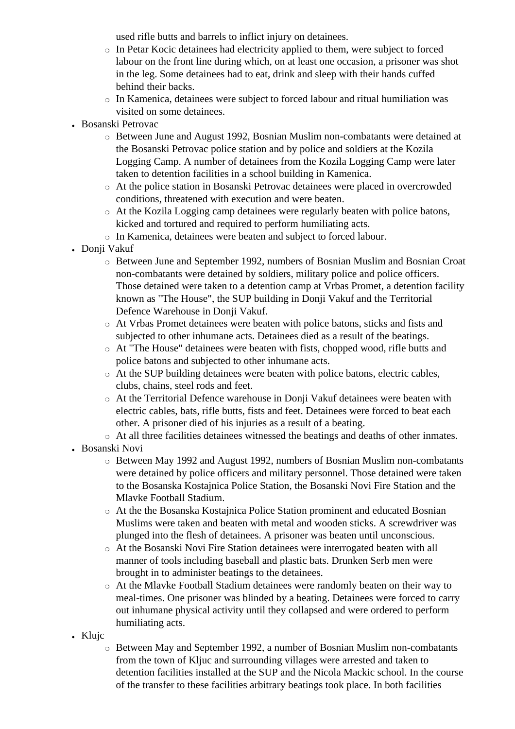used rifle butts and barrels to inflict injury on detainees.

- ❍ In Petar Kocic detainees had electricity applied to them, were subject to forced labour on the front line during which, on at least one occasion, a prisoner was shot in the leg. Some detainees had to eat, drink and sleep with their hands cuffed behind their backs.
- ❍ In Kamenica, detainees were subject to forced labour and ritual humiliation was visited on some detainees.
- Bosanski Petrovac
	- ❍ Between June and August 1992, Bosnian Muslim non-combatants were detained at the Bosanski Petrovac police station and by police and soldiers at the Kozila Logging Camp. A number of detainees from the Kozila Logging Camp were later taken to detention facilities in a school building in Kamenica.
	- ❍ At the police station in Bosanski Petrovac detainees were placed in overcrowded conditions, threatened with execution and were beaten.
	- ❍ At the Kozila Logging camp detainees were regularly beaten with police batons, kicked and tortured and required to perform humiliating acts.
	- ❍ In Kamenica, detainees were beaten and subject to forced labour.
- Donji Vakuf
	- ❍ Between June and September 1992, numbers of Bosnian Muslim and Bosnian Croat non-combatants were detained by soldiers, military police and police officers. Those detained were taken to a detention camp at Vrbas Promet, a detention facility known as "The House", the SUP building in Donji Vakuf and the Territorial Defence Warehouse in Donii Vakuf.
	- ❍ At Vrbas Promet detainees were beaten with police batons, sticks and fists and subjected to other inhumane acts. Detainees died as a result of the beatings.
	- ❍ At "The House" detainees were beaten with fists, chopped wood, rifle butts and police batons and subjected to other inhumane acts.
	- ❍ At the SUP building detainees were beaten with police batons, electric cables, clubs, chains, steel rods and feet.
	- ❍ At the Territorial Defence warehouse in Donji Vakuf detainees were beaten with electric cables, bats, rifle butts, fists and feet. Detainees were forced to beat each other. A prisoner died of his injuries as a result of a beating.
	- ❍ At all three facilities detainees witnessed the beatings and deaths of other inmates.
- Bosanski Novi
	- ❍ Between May 1992 and August 1992, numbers of Bosnian Muslim non-combatants were detained by police officers and military personnel. Those detained were taken to the Bosanska Kostajnica Police Station, the Bosanski Novi Fire Station and the Mlavke Football Stadium.
	- ❍ At the the Bosanska Kostajnica Police Station prominent and educated Bosnian Muslims were taken and beaten with metal and wooden sticks. A screwdriver was plunged into the flesh of detainees. A prisoner was beaten until unconscious.
	- ❍ At the Bosanski Novi Fire Station detainees were interrogated beaten with all manner of tools including baseball and plastic bats. Drunken Serb men were brought in to administer beatings to the detainees.
	- ❍ At the Mlavke Football Stadium detainees were randomly beaten on their way to meal-times. One prisoner was blinded by a beating. Detainees were forced to carry out inhumane physical activity until they collapsed and were ordered to perform humiliating acts.
- Klujc
	- ❍ Between May and September 1992, a number of Bosnian Muslim non-combatants from the town of Kljuc and surrounding villages were arrested and taken to detention facilities installed at the SUP and the Nicola Mackic school. In the course of the transfer to these facilities arbitrary beatings took place. In both facilities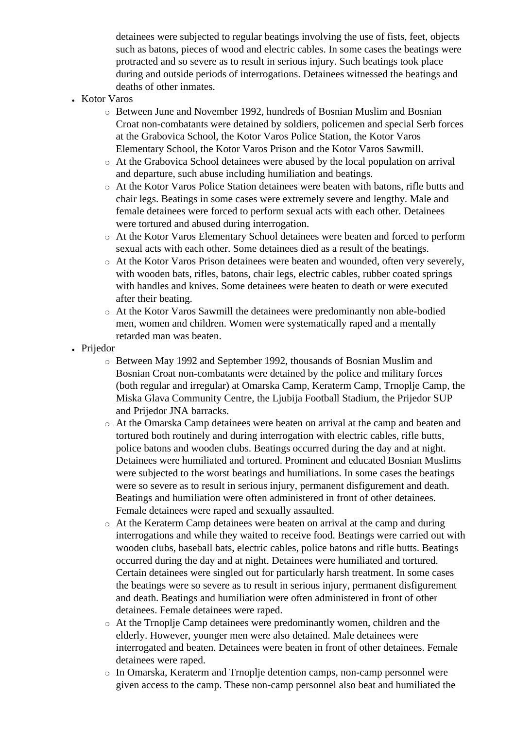detainees were subjected to regular beatings involving the use of fists, feet, objects such as batons, pieces of wood and electric cables. In some cases the beatings were protracted and so severe as to result in serious injury. Such beatings took place during and outside periods of interrogations. Detainees witnessed the beatings and deaths of other inmates.

- Kotor Varos
	- ❍ Between June and November 1992, hundreds of Bosnian Muslim and Bosnian Croat non-combatants were detained by soldiers, policemen and special Serb forces at the Grabovica School, the Kotor Varos Police Station, the Kotor Varos Elementary School, the Kotor Varos Prison and the Kotor Varos Sawmill.
	- ❍ At the Grabovica School detainees were abused by the local population on arrival and departure, such abuse including humiliation and beatings.
	- ❍ At the Kotor Varos Police Station detainees were beaten with batons, rifle butts and chair legs. Beatings in some cases were extremely severe and lengthy. Male and female detainees were forced to perform sexual acts with each other. Detainees were tortured and abused during interrogation.
	- ❍ At the Kotor Varos Elementary School detainees were beaten and forced to perform sexual acts with each other. Some detainees died as a result of the beatings.
	- ❍ At the Kotor Varos Prison detainees were beaten and wounded, often very severely, with wooden bats, rifles, batons, chair legs, electric cables, rubber coated springs with handles and knives. Some detainees were beaten to death or were executed after their beating.
	- ❍ At the Kotor Varos Sawmill the detainees were predominantly non able-bodied men, women and children. Women were systematically raped and a mentally retarded man was beaten.
- Prijedor
	- ❍ Between May 1992 and September 1992, thousands of Bosnian Muslim and Bosnian Croat non-combatants were detained by the police and military forces (both regular and irregular) at Omarska Camp, Keraterm Camp, Trnoplje Camp, the Miska Glava Community Centre, the Ljubija Football Stadium, the Prijedor SUP and Prijedor JNA barracks.
	- ❍ At the Omarska Camp detainees were beaten on arrival at the camp and beaten and tortured both routinely and during interrogation with electric cables, rifle butts, police batons and wooden clubs. Beatings occurred during the day and at night. Detainees were humiliated and tortured. Prominent and educated Bosnian Muslims were subjected to the worst beatings and humiliations. In some cases the beatings were so severe as to result in serious injury, permanent disfigurement and death. Beatings and humiliation were often administered in front of other detainees. Female detainees were raped and sexually assaulted.
	- ❍ At the Keraterm Camp detainees were beaten on arrival at the camp and during interrogations and while they waited to receive food. Beatings were carried out with wooden clubs, baseball bats, electric cables, police batons and rifle butts. Beatings occurred during the day and at night. Detainees were humiliated and tortured. Certain detainees were singled out for particularly harsh treatment. In some cases the beatings were so severe as to result in serious injury, permanent disfigurement and death. Beatings and humiliation were often administered in front of other detainees. Female detainees were raped.
	- ❍ At the Trnoplje Camp detainees were predominantly women, children and the elderly. However, younger men were also detained. Male detainees were interrogated and beaten. Detainees were beaten in front of other detainees. Female detainees were raped.
	- ❍ In Omarska, Keraterm and Trnoplje detention camps, non-camp personnel were given access to the camp. These non-camp personnel also beat and humiliated the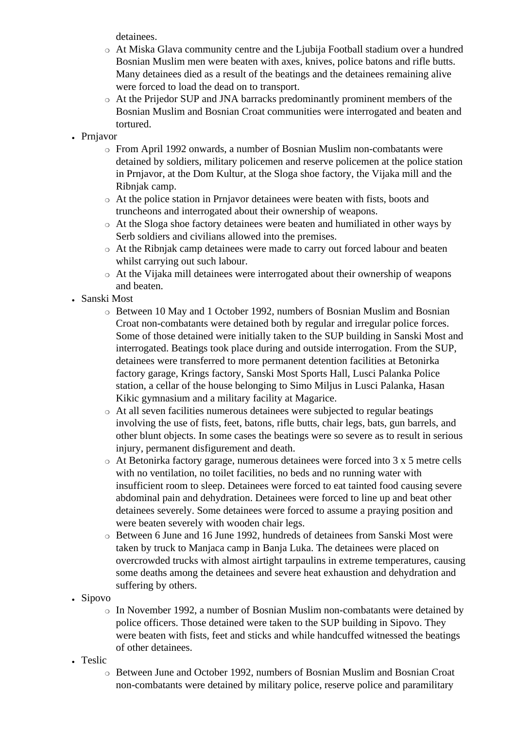detainees.

- ❍ At Miska Glava community centre and the Ljubija Football stadium over a hundred Bosnian Muslim men were beaten with axes, knives, police batons and rifle butts. Many detainees died as a result of the beatings and the detainees remaining alive were forced to load the dead on to transport.
- ❍ At the Prijedor SUP and JNA barracks predominantly prominent members of the Bosnian Muslim and Bosnian Croat communities were interrogated and beaten and tortured.
- Prnjavor
	- ❍ From April 1992 onwards, a number of Bosnian Muslim non-combatants were detained by soldiers, military policemen and reserve policemen at the police station in Prnjavor, at the Dom Kultur, at the Sloga shoe factory, the Vijaka mill and the Ribnjak camp.
	- ❍ At the police station in Prnjavor detainees were beaten with fists, boots and truncheons and interrogated about their ownership of weapons.
	- ❍ At the Sloga shoe factory detainees were beaten and humiliated in other ways by Serb soldiers and civilians allowed into the premises.
	- ❍ At the Ribnjak camp detainees were made to carry out forced labour and beaten whilst carrying out such labour.
	- ❍ At the Vijaka mill detainees were interrogated about their ownership of weapons and beaten.
- Sanski Most
	- ❍ Between 10 May and 1 October 1992, numbers of Bosnian Muslim and Bosnian Croat non-combatants were detained both by regular and irregular police forces. Some of those detained were initially taken to the SUP building in Sanski Most and interrogated. Beatings took place during and outside interrogation. From the SUP, detainees were transferred to more permanent detention facilities at Betonirka factory garage, Krings factory, Sanski Most Sports Hall, Lusci Palanka Police station, a cellar of the house belonging to Simo Miljus in Lusci Palanka, Hasan Kikic gymnasium and a military facility at Magarice.
	- ❍ At all seven facilities numerous detainees were subjected to regular beatings involving the use of fists, feet, batons, rifle butts, chair legs, bats, gun barrels, and other blunt objects. In some cases the beatings were so severe as to result in serious injury, permanent disfigurement and death.
	- $\circ$  At Betonirka factory garage, numerous detainees were forced into 3 x 5 metre cells with no ventilation, no toilet facilities, no beds and no running water with insufficient room to sleep. Detainees were forced to eat tainted food causing severe abdominal pain and dehydration. Detainees were forced to line up and beat other detainees severely. Some detainees were forced to assume a praying position and were beaten severely with wooden chair legs.
	- ❍ Between 6 June and 16 June 1992, hundreds of detainees from Sanski Most were taken by truck to Manjaca camp in Banja Luka. The detainees were placed on overcrowded trucks with almost airtight tarpaulins in extreme temperatures, causing some deaths among the detainees and severe heat exhaustion and dehydration and suffering by others.
- Sipovo
	- ❍ In November 1992, a number of Bosnian Muslim non-combatants were detained by police officers. Those detained were taken to the SUP building in Sipovo. They were beaten with fists, feet and sticks and while handcuffed witnessed the beatings of other detainees.
- Teslic
	- ❍ Between June and October 1992, numbers of Bosnian Muslim and Bosnian Croat non-combatants were detained by military police, reserve police and paramilitary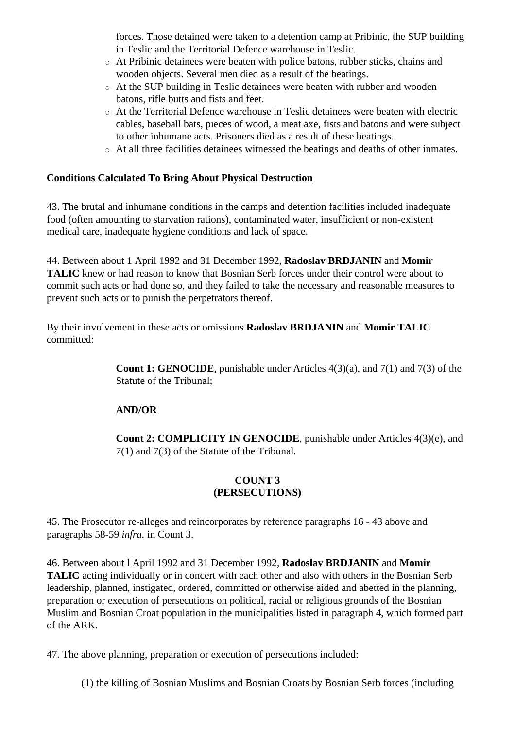forces. Those detained were taken to a detention camp at Pribinic, the SUP building in Teslic and the Territorial Defence warehouse in Teslic.

- ❍ At Pribinic detainees were beaten with police batons, rubber sticks, chains and wooden objects. Several men died as a result of the beatings.
- ❍ At the SUP building in Teslic detainees were beaten with rubber and wooden batons, rifle butts and fists and feet.
- ❍ At the Territorial Defence warehouse in Teslic detainees were beaten with electric cables, baseball bats, pieces of wood, a meat axe, fists and batons and were subject to other inhumane acts. Prisoners died as a result of these beatings.
- ❍ At all three facilities detainees witnessed the beatings and deaths of other inmates.

#### **Conditions Calculated To Bring About Physical Destruction**

43. The brutal and inhumane conditions in the camps and detention facilities included inadequate food (often amounting to starvation rations), contaminated water, insufficient or non-existent medical care, inadequate hygiene conditions and lack of space.

44. Between about 1 April 1992 and 31 December 1992, **Radoslav BRDJANIN** and **Momir TALIC** knew or had reason to know that Bosnian Serb forces under their control were about to commit such acts or had done so, and they failed to take the necessary and reasonable measures to prevent such acts or to punish the perpetrators thereof.

By their involvement in these acts or omissions **Radoslav BRDJANIN** and **Momir TALIC** committed:

> **Count 1: GENOCIDE**, punishable under Articles 4(3)(a), and 7(1) and 7(3) of the Statute of the Tribunal;

#### **AND/OR**

**Count 2: COMPLICITY IN GENOCIDE**, punishable under Articles 4(3)(e), and 7(1) and 7(3) of the Statute of the Tribunal.

#### **COUNT 3 (PERSECUTIONS)**

45. The Prosecutor re-alleges and reincorporates by reference paragraphs 16 - 43 above and paragraphs 58-59 *infra.* in Count 3.

46. Between about l April 1992 and 31 December 1992, **Radoslav BRDJANIN** and **Momir TALIC** acting individually or in concert with each other and also with others in the Bosnian Serb leadership, planned, instigated, ordered, committed or otherwise aided and abetted in the planning, preparation or execution of persecutions on political, racial or religious grounds of the Bosnian Muslim and Bosnian Croat population in the municipalities listed in paragraph 4, which formed part of the ARK.

47. The above planning, preparation or execution of persecutions included:

(1) the killing of Bosnian Muslims and Bosnian Croats by Bosnian Serb forces (including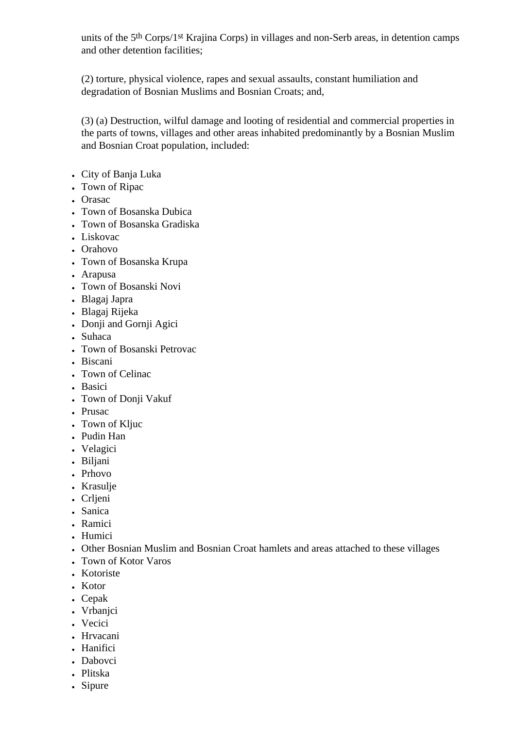units of the 5th Corps/1st Krajina Corps) in villages and non-Serb areas, in detention camps and other detention facilities;

(2) torture, physical violence, rapes and sexual assaults, constant humiliation and degradation of Bosnian Muslims and Bosnian Croats; and,

(3) (a) Destruction, wilful damage and looting of residential and commercial properties in the parts of towns, villages and other areas inhabited predominantly by a Bosnian Muslim and Bosnian Croat population, included:

- City of Banja Luka
- Town of Ripac
- Orasac
- Town of Bosanska Dubica
- Town of Bosanska Gradiska
- Liskovac
- Orahovo
- Town of Bosanska Krupa
- Arapusa
- Town of Bosanski Novi
- Blagaj Japra
- Blagaj Rijeka
- Donji and Gornji Agici
- Suhaca
- Town of Bosanski Petrovac
- Biscani
- Town of Celinac
- Basici
- Town of Donji Vakuf
- Prusac
- Town of Kljuc
- Pudin Han
- Velagici
- Biljani
- Prhovo
- Krasulje
- Crljeni
- Sanica
- Ramici
- Humici
- Other Bosnian Muslim and Bosnian Croat hamlets and areas attached to these villages
- Town of Kotor Varos
- Kotoriste
- Kotor
- Cepak
- Vrbanjci
- Vecici
- Hrvacani
- Hanifici
- Dabovci
- Plitska
- Sipure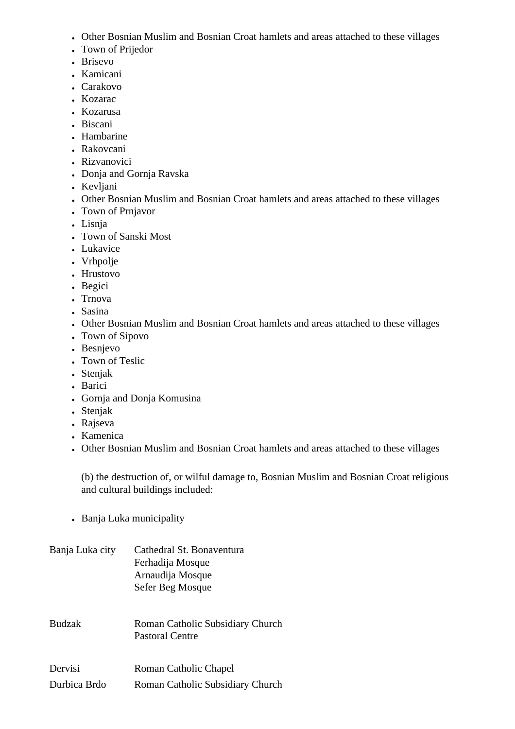- Other Bosnian Muslim and Bosnian Croat hamlets and areas attached to these villages
- Town of Prijedor
- Brisevo
- Kamicani
- Carakovo
- Kozarac
- Kozarusa
- Biscani
- Hambarine
- Rakovcani
- Rizvanovici
- Donja and Gornja Ravska
- Kevliani
- Other Bosnian Muslim and Bosnian Croat hamlets and areas attached to these villages
- Town of Prnjavor
- Lisnja
- Town of Sanski Most
- Lukavice
- Vrhpolje
- Hrustovo
- Begici
- Trnova
- Sasina
- Other Bosnian Muslim and Bosnian Croat hamlets and areas attached to these villages
- Town of Sipovo
- Besnjevo
- Town of Teslic
- Stenjak
- Barici
- Gornja and Donja Komusina
- Stenjak
- Rajseva
- Kamenica
- Other Bosnian Muslim and Bosnian Croat hamlets and areas attached to these villages

(b) the destruction of, or wilful damage to, Bosnian Muslim and Bosnian Croat religious and cultural buildings included:

• Banja Luka municipality

| Banja Luka city | Cathedral St. Bonaventura<br>Ferhadija Mosque<br>Arnaudija Mosque<br>Sefer Beg Mosque |
|-----------------|---------------------------------------------------------------------------------------|
| <b>Budzak</b>   | Roman Catholic Subsidiary Church<br><b>Pastoral Centre</b>                            |
| Dervisi         | Roman Catholic Chapel                                                                 |
| Durbica Brdo    | Roman Catholic Subsidiary Church                                                      |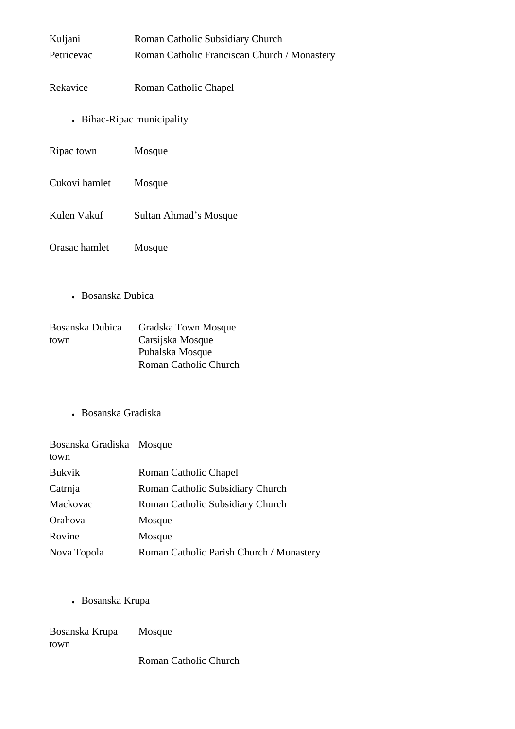| Kuljani                 | Roman Catholic Subsidiary Church                                                    |  |
|-------------------------|-------------------------------------------------------------------------------------|--|
| Petricevac              | Roman Catholic Franciscan Church / Monastery                                        |  |
| Rekavice                | Roman Catholic Chapel                                                               |  |
|                         | • Bihac-Ripac municipality                                                          |  |
| Ripac town              | Mosque                                                                              |  |
| Cukovi hamlet           | Mosque                                                                              |  |
| Kulen Vakuf             | Sultan Ahmad's Mosque                                                               |  |
| Orasac hamlet           | Mosque                                                                              |  |
| • Bosanska Dubica       |                                                                                     |  |
| Bosanska Dubica<br>town | Gradska Town Mosque<br>Carsijska Mosque<br>Puhalska Mosque<br>Roman Catholic Church |  |
| Bosanska Gradiska       |                                                                                     |  |

| Bosanska Gradiska Mosque<br>town |                                          |
|----------------------------------|------------------------------------------|
| <b>Bukvik</b>                    | Roman Catholic Chapel                    |
| Catrnja                          | Roman Catholic Subsidiary Church         |
| Mackovac                         | Roman Catholic Subsidiary Church         |
| Orahova                          | Mosque                                   |
| Rovine                           | Mosque                                   |
| Nova Topola                      | Roman Catholic Parish Church / Monastery |

- Bosanska Krupa

| Bosanska Krupa | Mosque |
|----------------|--------|
| town           |        |

Roman Catholic Church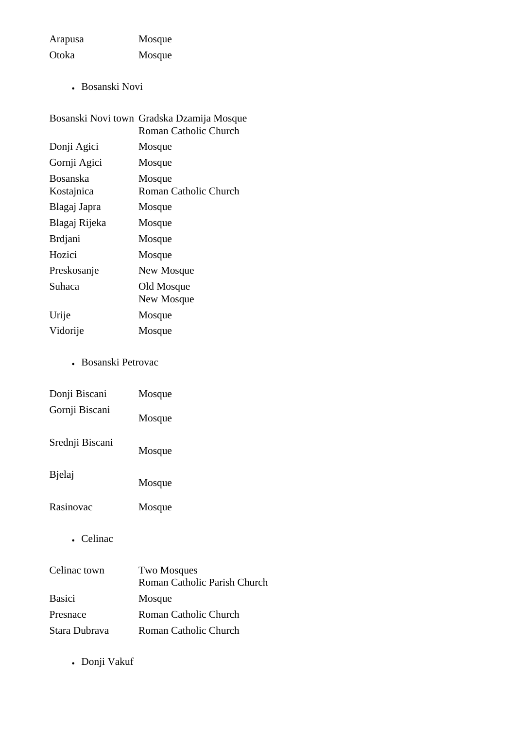Arapusa Mosque Otoka Mosque

• Bosanski Novi

|                               | Bosanski Novi town Gradska Dzamija Mosque<br>Roman Catholic Church |
|-------------------------------|--------------------------------------------------------------------|
| Donji Agici                   | Mosque                                                             |
| Gornji Agici                  | Mosque                                                             |
| <b>Bosanska</b><br>Kostajnica | Mosque<br>Roman Catholic Church                                    |
| Blagaj Japra                  | Mosque                                                             |
| Blagaj Rijeka                 | Mosque                                                             |
| <b>Brdjani</b>                | Mosque                                                             |
| Hozici                        | Mosque                                                             |
| Preskosanje                   | New Mosque                                                         |
| Suhaca                        | Old Mosque<br>New Mosque                                           |
| Urije                         | Mosque                                                             |
| Vidorije                      | Mosque                                                             |

# • Bosanski Petrovac

| Donji Biscani   | Mosque |
|-----------------|--------|
| Gornji Biscani  | Mosque |
| Srednji Biscani | Mosque |
| <b>B</b> jelaj  | Mosque |
| Rasinovac       | Mosque |

• Celinac

| Celinac town  | <b>Two Mosques</b>           |
|---------------|------------------------------|
|               | Roman Catholic Parish Church |
| <b>Basici</b> | Mosque                       |
| Presnace      | Roman Catholic Church        |
| Stara Dubrava | Roman Catholic Church        |

• Donji Vakuf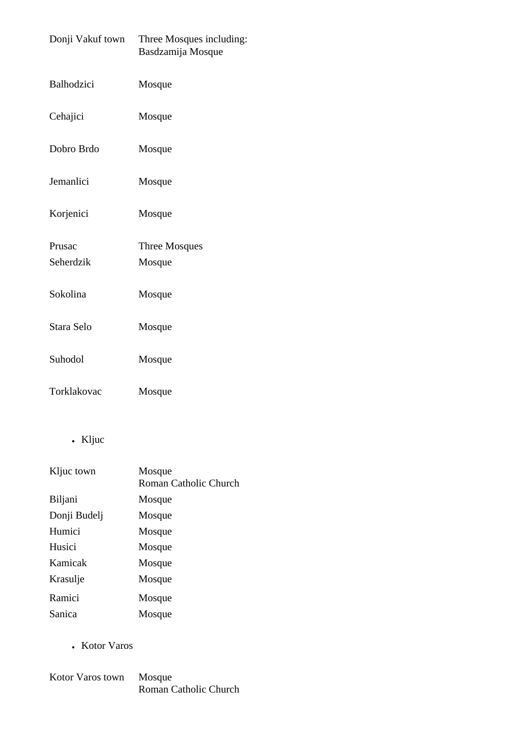| Donji Vakuf town    | Three Mosques including:<br>Basdzamija Mosque |
|---------------------|-----------------------------------------------|
| Balhodzici          | Mosque                                        |
| Cehajici            | Mosque                                        |
| Dobro Brdo          | Mosque                                        |
| Jemanlici           | Mosque                                        |
| Korjenici           | Mosque                                        |
| Prusac<br>Seherdzik | Three Mosques<br>Mosque                       |
| Sokolina            | Mosque                                        |
| Stara Selo          | Mosque                                        |
| Suhodol             | Mosque                                        |
| Torklakovac         | Mosque                                        |

• Kljuc

| Kljuc town   | Mosque<br>Roman Catholic Church |
|--------------|---------------------------------|
| Biljani      | Mosque                          |
| Donji Budelj | Mosque                          |
| Humici       | Mosque                          |
| Husici       | Mosque                          |
| Kamicak      | Mosque                          |
| Krasulje     | Mosque                          |
| Ramici       | Mosque                          |
| Sanica       | Mosque                          |

• Kotor Varos

Kotor Varos town Mosque Roman Catholic Church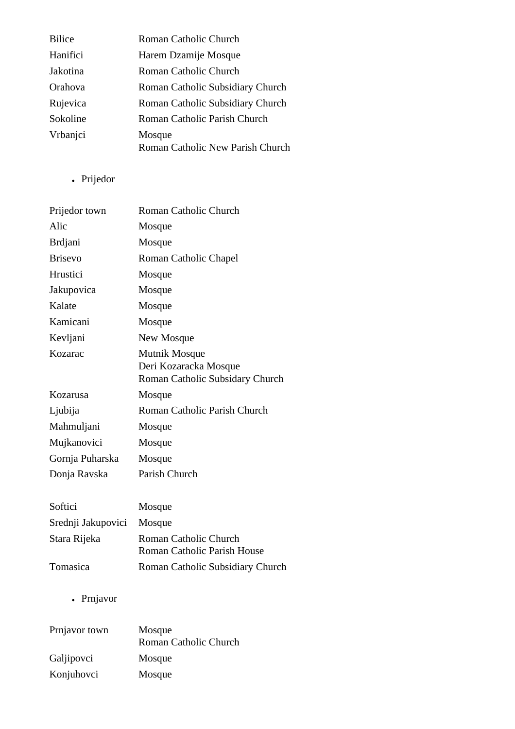| <b>Bilice</b> | Roman Catholic Church            |
|---------------|----------------------------------|
| Hanifici      | Harem Dzamije Mosque             |
| Jakotina      | Roman Catholic Church            |
| Orahova       | Roman Catholic Subsidiary Church |
| Rujevica      | Roman Catholic Subsidiary Church |
| Sokoline      | Roman Catholic Parish Church     |
| Vrbanjci      | Mosque                           |
|               | Roman Catholic New Parish Church |

• Prijedor

| Prijedor town   | Roman Catholic Church                                                     |
|-----------------|---------------------------------------------------------------------------|
| Alic            | Mosque                                                                    |
| <b>Brdjani</b>  | Mosque                                                                    |
| <b>Brisevo</b>  | Roman Catholic Chapel                                                     |
| Hrustici        | Mosque                                                                    |
| Jakupovica      | Mosque                                                                    |
| Kalate          | Mosque                                                                    |
| Kamicani        | Mosque                                                                    |
| Kevljani        | New Mosque                                                                |
| Kozarac         | Mutnik Mosque<br>Deri Kozaracka Mosque<br>Roman Catholic Subsidary Church |
| Kozarusa        | Mosque                                                                    |
| Ljubija         | Roman Catholic Parish Church                                              |
| Mahmuljani      | Mosque                                                                    |
| Mujkanovici     | Mosque                                                                    |
| Gornja Puharska | Mosque                                                                    |
| Donja Ravska    | Parish Church                                                             |
| Softici         | Mosque                                                                    |

| pond                      | wwww                                                        |
|---------------------------|-------------------------------------------------------------|
| Srednji Jakupovici Mosque |                                                             |
| Stara Rijeka              | Roman Catholic Church<br><b>Roman Catholic Parish House</b> |
| Tomasica                  | Roman Catholic Subsidiary Church                            |

• Prnjavor

| Prnjavor town | Mosque                |
|---------------|-----------------------|
|               | Roman Catholic Church |
| Galjipovci    | Mosque                |
| Konjuhovci    | Mosque                |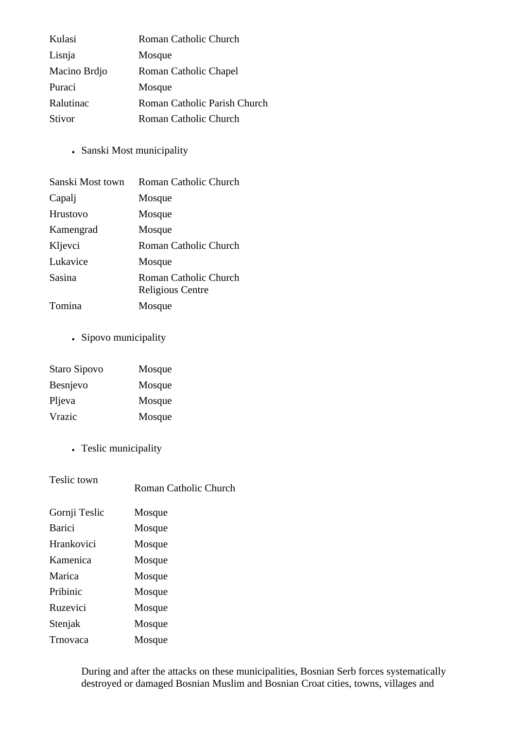| Kulasi        | Roman Catholic Church        |
|---------------|------------------------------|
| Lisnja        | Mosque                       |
| Macino Brdjo  | Roman Catholic Chapel        |
| Puraci        | Mosque                       |
| Ralutinac     | Roman Catholic Parish Church |
| <b>Stivor</b> | Roman Catholic Church        |

• Sanski Most municipality

| Sanski Most town | Roman Catholic Church                     |
|------------------|-------------------------------------------|
| Capalj           | Mosque                                    |
| <b>Hrustovo</b>  | Mosque                                    |
| Kamengrad        | Mosque                                    |
| Kljevci          | Roman Catholic Church                     |
| Lukavice         | Mosque                                    |
| Sasina           | Roman Catholic Church<br>Religious Centre |
| Tomina           | Mosque                                    |

• Sipovo municipality

| Staro Sipovo    | Mosque |
|-----------------|--------|
| <b>Besnjevo</b> | Mosque |
| Pljeva          | Mosque |
| Vrazic          | Mosque |

• Teslic municipality

| Teslic town   | Roman Catholic Church |
|---------------|-----------------------|
| Gornji Teslic | Mosque                |
| Barici        | Mosque                |
| Hrankovici    | Mosque                |
| Kamenica      | Mosque                |
| Marica        | Mosque                |
| Pribinic      | Mosque                |
| Ruzevici      | Mosque                |
| Stenjak       | Mosque                |
| Trnovaca      | Mosque                |

During and after the attacks on these municipalities, Bosnian Serb forces systematically destroyed or damaged Bosnian Muslim and Bosnian Croat cities, towns, villages and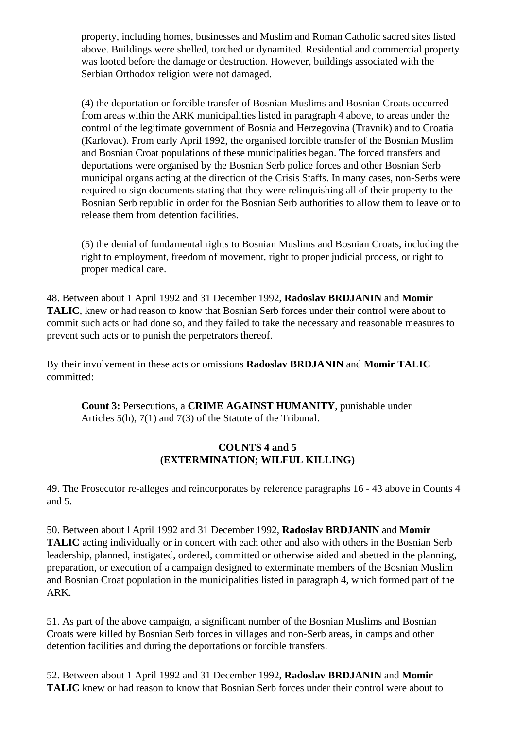property, including homes, businesses and Muslim and Roman Catholic sacred sites listed above. Buildings were shelled, torched or dynamited. Residential and commercial property was looted before the damage or destruction. However, buildings associated with the Serbian Orthodox religion were not damaged.

(4) the deportation or forcible transfer of Bosnian Muslims and Bosnian Croats occurred from areas within the ARK municipalities listed in paragraph 4 above, to areas under the control of the legitimate government of Bosnia and Herzegovina (Travnik) and to Croatia (Karlovac). From early April 1992, the organised forcible transfer of the Bosnian Muslim and Bosnian Croat populations of these municipalities began. The forced transfers and deportations were organised by the Bosnian Serb police forces and other Bosnian Serb municipal organs acting at the direction of the Crisis Staffs. In many cases, non-Serbs were required to sign documents stating that they were relinquishing all of their property to the Bosnian Serb republic in order for the Bosnian Serb authorities to allow them to leave or to release them from detention facilities.

(5) the denial of fundamental rights to Bosnian Muslims and Bosnian Croats, including the right to employment, freedom of movement, right to proper judicial process, or right to proper medical care.

48. Between about 1 April 1992 and 31 December 1992, **Radoslav BRDJANIN** and **Momir TALIC**, knew or had reason to know that Bosnian Serb forces under their control were about to commit such acts or had done so, and they failed to take the necessary and reasonable measures to prevent such acts or to punish the perpetrators thereof.

By their involvement in these acts or omissions **Radoslav BRDJANIN** and **Momir TALIC** committed:

**Count 3:** Persecutions, a **CRIME AGAINST HUMANITY**, punishable under Articles 5(h), 7(1) and 7(3) of the Statute of the Tribunal.

## **COUNTS 4 and 5 (EXTERMINATION; WILFUL KILLING)**

49. The Prosecutor re-alleges and reincorporates by reference paragraphs 16 - 43 above in Counts 4 and 5.

50. Between about l April 1992 and 31 December 1992, **Radoslav BRDJANIN** and **Momir TALIC** acting individually or in concert with each other and also with others in the Bosnian Serb leadership, planned, instigated, ordered, committed or otherwise aided and abetted in the planning, preparation, or execution of a campaign designed to exterminate members of the Bosnian Muslim and Bosnian Croat population in the municipalities listed in paragraph 4, which formed part of the ARK.

51. As part of the above campaign, a significant number of the Bosnian Muslims and Bosnian Croats were killed by Bosnian Serb forces in villages and non-Serb areas, in camps and other detention facilities and during the deportations or forcible transfers.

52. Between about 1 April 1992 and 31 December 1992, **Radoslav BRDJANIN** and **Momir TALIC** knew or had reason to know that Bosnian Serb forces under their control were about to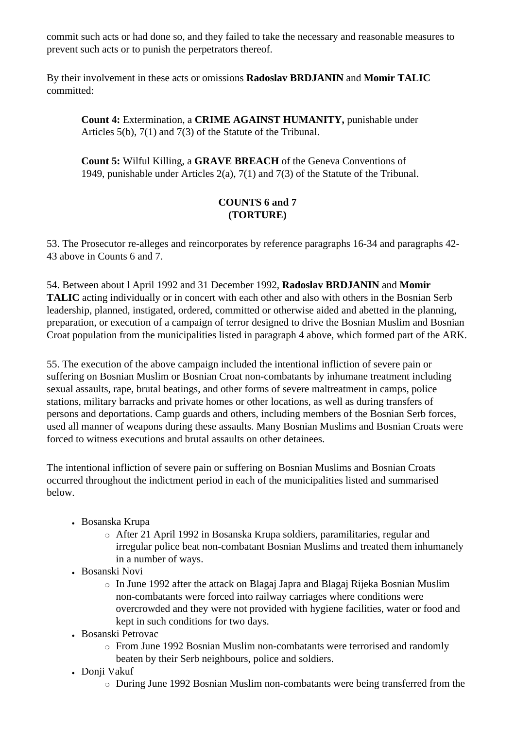commit such acts or had done so, and they failed to take the necessary and reasonable measures to prevent such acts or to punish the perpetrators thereof.

By their involvement in these acts or omissions **Radoslav BRDJANIN** and **Momir TALIC** committed:

**Count 4:** Extermination, a **CRIME AGAINST HUMANITY,** punishable under Articles 5(b), 7(1) and 7(3) of the Statute of the Tribunal.

**Count 5:** Wilful Killing, a **GRAVE BREACH** of the Geneva Conventions of 1949, punishable under Articles 2(a), 7(1) and 7(3) of the Statute of the Tribunal.

# **COUNTS 6 and 7 (TORTURE)**

53. The Prosecutor re-alleges and reincorporates by reference paragraphs 16-34 and paragraphs 42- 43 above in Counts 6 and 7.

54. Between about l April 1992 and 31 December 1992, **Radoslav BRDJANIN** and **Momir TALIC** acting individually or in concert with each other and also with others in the Bosnian Serb leadership, planned, instigated, ordered, committed or otherwise aided and abetted in the planning, preparation, or execution of a campaign of terror designed to drive the Bosnian Muslim and Bosnian Croat population from the municipalities listed in paragraph 4 above, which formed part of the ARK.

55. The execution of the above campaign included the intentional infliction of severe pain or suffering on Bosnian Muslim or Bosnian Croat non-combatants by inhumane treatment including sexual assaults, rape, brutal beatings, and other forms of severe maltreatment in camps, police stations, military barracks and private homes or other locations, as well as during transfers of persons and deportations. Camp guards and others, including members of the Bosnian Serb forces, used all manner of weapons during these assaults. Many Bosnian Muslims and Bosnian Croats were forced to witness executions and brutal assaults on other detainees.

The intentional infliction of severe pain or suffering on Bosnian Muslims and Bosnian Croats occurred throughout the indictment period in each of the municipalities listed and summarised below.

- Bosanska Krupa
	- ❍ After 21 April 1992 in Bosanska Krupa soldiers, paramilitaries, regular and irregular police beat non-combatant Bosnian Muslims and treated them inhumanely in a number of ways.
- Bosanski Novi
	- ❍ In June 1992 after the attack on Blagaj Japra and Blagaj Rijeka Bosnian Muslim non-combatants were forced into railway carriages where conditions were overcrowded and they were not provided with hygiene facilities, water or food and kept in such conditions for two days.
- Bosanski Petrovac
	- ❍ From June 1992 Bosnian Muslim non-combatants were terrorised and randomly beaten by their Serb neighbours, police and soldiers.
- Donji Vakuf
	- ❍ During June 1992 Bosnian Muslim non-combatants were being transferred from the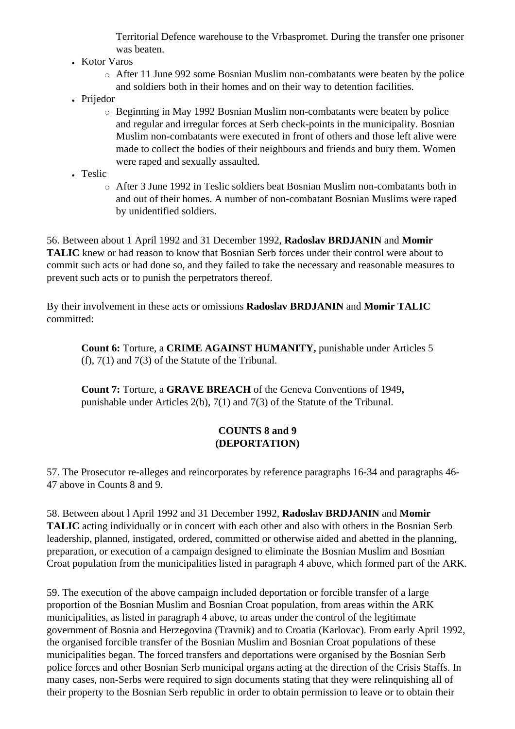Territorial Defence warehouse to the Vrbaspromet. During the transfer one prisoner was beaten.

- Kotor Varos
	- ❍ After 11 June 992 some Bosnian Muslim non-combatants were beaten by the police and soldiers both in their homes and on their way to detention facilities.
- Prijedor
	- ❍ Beginning in May 1992 Bosnian Muslim non-combatants were beaten by police and regular and irregular forces at Serb check-points in the municipality. Bosnian Muslim non-combatants were executed in front of others and those left alive were made to collect the bodies of their neighbours and friends and bury them. Women were raped and sexually assaulted.
- Teslic
	- ❍ After 3 June 1992 in Teslic soldiers beat Bosnian Muslim non-combatants both in and out of their homes. A number of non-combatant Bosnian Muslims were raped by unidentified soldiers.

56. Between about 1 April 1992 and 31 December 1992, **Radoslav BRDJANIN** and **Momir TALIC** knew or had reason to know that Bosnian Serb forces under their control were about to commit such acts or had done so, and they failed to take the necessary and reasonable measures to prevent such acts or to punish the perpetrators thereof.

By their involvement in these acts or omissions **Radoslav BRDJANIN** and **Momir TALIC** committed:

**Count 6:** Torture, a **CRIME AGAINST HUMANITY,** punishable under Articles 5 (f), 7(1) and 7(3) of the Statute of the Tribunal.

**Count 7:** Torture, a **GRAVE BREACH** of the Geneva Conventions of 1949**,**  punishable under Articles 2(b), 7(1) and 7(3) of the Statute of the Tribunal.

## **COUNTS 8 and 9 (DEPORTATION)**

57. The Prosecutor re-alleges and reincorporates by reference paragraphs 16-34 and paragraphs 46- 47 above in Counts 8 and 9.

58. Between about l April 1992 and 31 December 1992, **Radoslav BRDJANIN** and **Momir TALIC** acting individually or in concert with each other and also with others in the Bosnian Serb leadership, planned, instigated, ordered, committed or otherwise aided and abetted in the planning, preparation, or execution of a campaign designed to eliminate the Bosnian Muslim and Bosnian Croat population from the municipalities listed in paragraph 4 above, which formed part of the ARK.

59. The execution of the above campaign included deportation or forcible transfer of a large proportion of the Bosnian Muslim and Bosnian Croat population, from areas within the ARK municipalities, as listed in paragraph 4 above, to areas under the control of the legitimate government of Bosnia and Herzegovina (Travnik) and to Croatia (Karlovac). From early April 1992, the organised forcible transfer of the Bosnian Muslim and Bosnian Croat populations of these municipalities began. The forced transfers and deportations were organised by the Bosnian Serb police forces and other Bosnian Serb municipal organs acting at the direction of the Crisis Staffs. In many cases, non-Serbs were required to sign documents stating that they were relinquishing all of their property to the Bosnian Serb republic in order to obtain permission to leave or to obtain their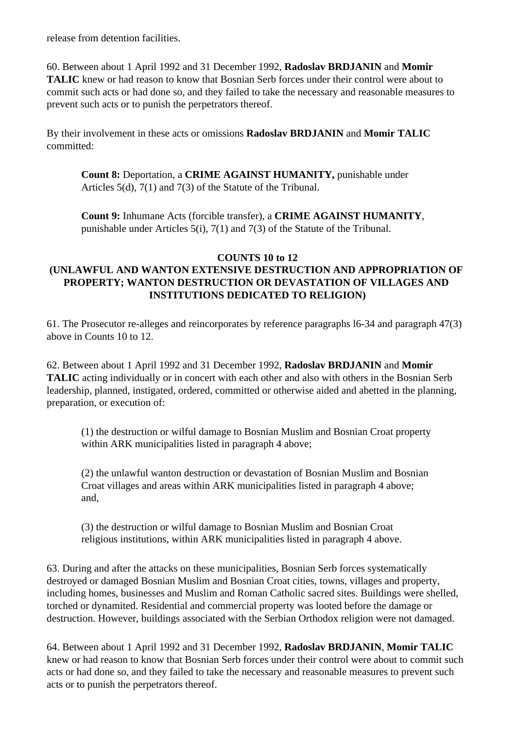release from detention facilities.

60. Between about 1 April 1992 and 31 December 1992, **Radoslav BRDJANIN** and **Momir TALIC** knew or had reason to know that Bosnian Serb forces under their control were about to commit such acts or had done so, and they failed to take the necessary and reasonable measures to prevent such acts or to punish the perpetrators thereof.

By their involvement in these acts or omissions **Radoslav BRDJANIN** and **Momir TALIC** committed:

**Count 8:** Deportation, a **CRIME AGAINST HUMANITY,** punishable under Articles 5(d), 7(1) and 7(3) of the Statute of the Tribunal.

**Count 9:** Inhumane Acts (forcible transfer), a **CRIME AGAINST HUMANITY**, punishable under Articles 5(i), 7(1) and 7(3) of the Statute of the Tribunal.

#### **COUNTS 10 to 12**

# **(UNLAWFUL AND WANTON EXTENSIVE DESTRUCTION AND APPROPRIATION OF PROPERTY; WANTON DESTRUCTION OR DEVASTATION OF VILLAGES AND INSTITUTIONS DEDICATED TO RELIGION)**

61. The Prosecutor re-alleges and reincorporates by reference paragraphs l6-34 and paragraph 47(3) above in Counts 10 to 12.

62. Between about 1 April 1992 and 31 December 1992, **Radoslav BRDJANIN** and **Momir TALIC** acting individually or in concert with each other and also with others in the Bosnian Serb leadership, planned, instigated, ordered, committed or otherwise aided and abetted in the planning, preparation, or execution of:

(1) the destruction or wilful damage to Bosnian Muslim and Bosnian Croat property within ARK municipalities listed in paragraph 4 above;

(2) the unlawful wanton destruction or devastation of Bosnian Muslim and Bosnian Croat villages and areas within ARK municipalities listed in paragraph 4 above; and,

(3) the destruction or wilful damage to Bosnian Muslim and Bosnian Croat religious institutions, within ARK municipalities listed in paragraph 4 above.

63. During and after the attacks on these municipalities, Bosnian Serb forces systematically destroyed or damaged Bosnian Muslim and Bosnian Croat cities, towns, villages and property, including homes, businesses and Muslim and Roman Catholic sacred sites. Buildings were shelled, torched or dynamited. Residential and commercial property was looted before the damage or destruction. However, buildings associated with the Serbian Orthodox religion were not damaged.

64. Between about 1 April 1992 and 31 December 1992, **Radoslav BRDJANIN**, **Momir TALIC** knew or had reason to know that Bosnian Serb forces under their control were about to commit such acts or had done so, and they failed to take the necessary and reasonable measures to prevent such acts or to punish the perpetrators thereof.